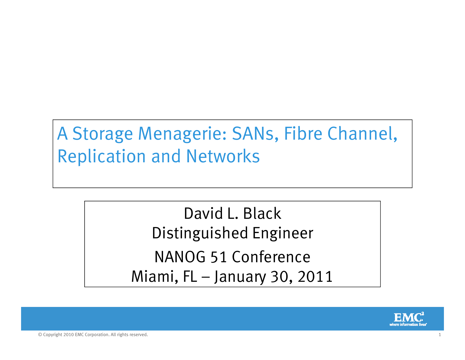### A Storage Menagerie: SANs, Fibre Channel, Replication and Networks

David L. Black Distinguished Engineer NANOG 51 Conference Miami, FL – January 30, 2011

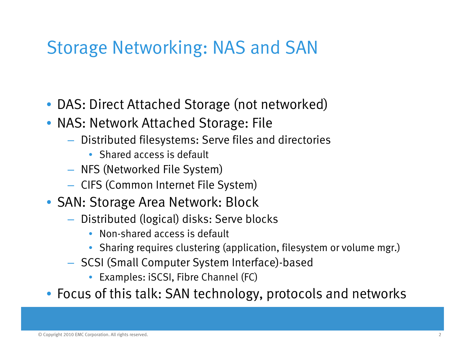### Storage Networking: NAS and SAN

- DAS: Direct Attached Storage (not networked)
- NAS: Network Attached Storage: File
	- $-$  Distributed filesystems: Serve files and directories
		- Shared access is default
	- $-$  NFS (Networked File System)
	- $-$  CIFS (Common Internet File System)
- SAN: Storage Area Network: Block
	- $-$  Distributed (logical) disks: Serve blocks
		- Non-shared access is default
		- $\bullet$  Sharing requires clustering (application, filesystem or volume mgr.)
	- $-$  SCSI (Small Computer System Interface)-based
		- Examples: iSCSI, Fibre Channel (FC)
- Focus of this talk: SAN technology, protocols and networks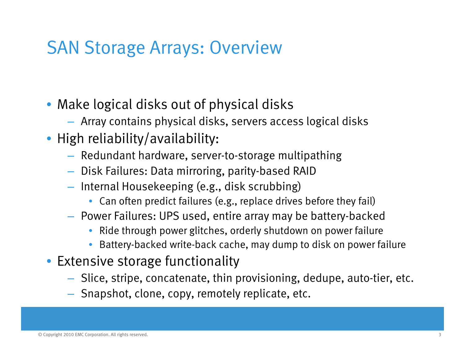### SAN Storage Arrays: Overview

- Make logical disks out of physical disks
	- Array contains physical disks, servers access logical disks
- High reliability/availability:
	- $-$  Redundant hardware, server-to-storage multipathing
	- $-$  Disk Failures: Data mirroring, parity-based RAID
	- $-$  Internal Housekeeping (e.g., disk scrubbing)
		- Can often predict failures (e.g., replace drives before they fail)
	- $-$  Power Failures: UPS used, entire array may be battery-backed
		- Ride through power glitches, orderly shutdown on power failure
		- Battery-backed write-back cache, may dump to disk on power failure
- Extensive storage functionality
	- $-$  Slice, stripe, concatenate, thin provisioning, dedupe, auto-tier, etc.
	- Snapshot, clone, copy, remotely replicate, etc  $-$  Snapshot, clone, copy, remotely replicate, etc.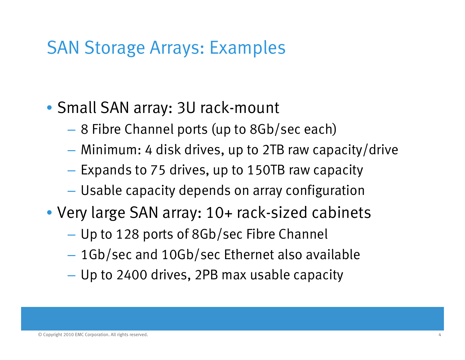### SAN Storage Arrays: Examples

### • Small SAN array: 3U rack-mount

- 8 Fibre Channel ports (up to 8Gb/sec each)
- Minimum: 4 disk drives, up to 2TB raw capacity/drive
- $-$  Expands to 75 drives, up to 150TB raw capacity
- Usable capacity depends on array configuration
- Very large SAN array: 10+ rack-sized cabinets
	- Up to 128 ports of 8Gb/sec Fibre Channel
	- 1Gb/sec and 10Gb/sec Ethernet also available
	- Up to 2400 drives, 2PB max usable capacity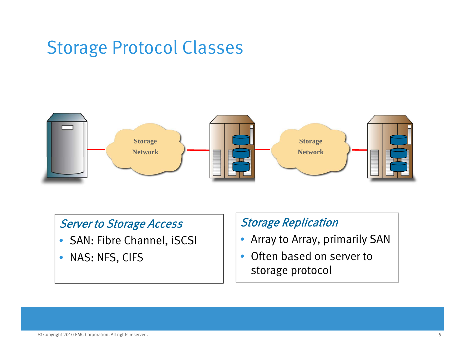### Storage Protocol Classes



#### Server to Storage Access

- SAN: Fibre Channel, iSCSI
- $\bullet$ NAS: NFS, CIFS

#### Storage Replication

- Array to Array, primarily SAN
- $\bullet$  Often based on server to storage protocol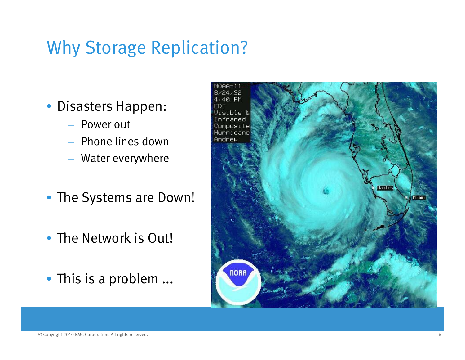### Why Storage Replication?

- Disasters Happen:
	- Power out
	- Phone lines down
	- Water everywhere
- The Systems are Down!
- The Network is Out!
- This is a problem ...

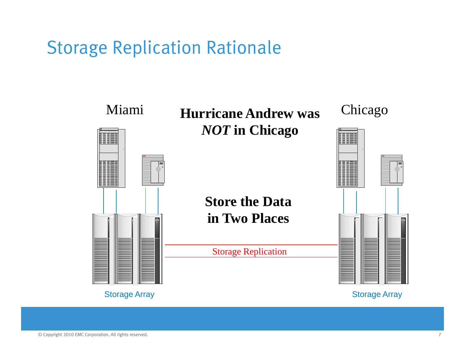### Storage Replication Rationale

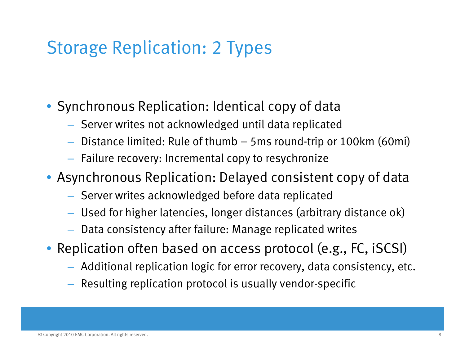### Storage Replication: 2 Types

• Synchronous Replication: Identical copy of data

- $-$  Server writes not acknowledged until data replicated
- $-$  Distance limited: Rule of thumb 5ms round-trip or 100km (60mi)
- $-$  Failure recovery: Incremental copy to resychronize
- Asynchronous Replication: Delayed consistent copy of data
	- $-$  Server writes acknowledged before data replicated
	- Used for higher latencies, longer distances (arbitrary distance ok)
	- $-$  Data consistency after failure: Manage replicated writes
- Replication often based on access protocol (e.g., FC, iSCSI)
	- $-$  Additional replication logic for error recovery, data consistency, etc.
	- $-$  Resulting replication protocol is usually vendor-specific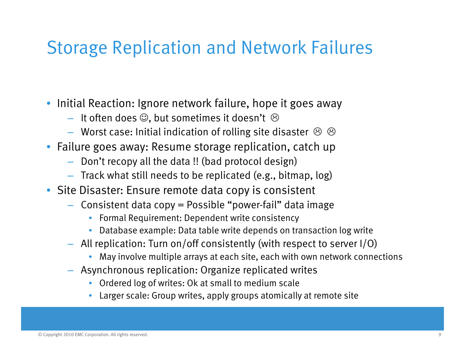### Storage Replication and Network Failures

- Initial Reaction: Ignore network failure, hope it goes away
	- $-$  It often does  $\mathfrak{S},$  but sometimes it doesn't  $\,\mathfrak{\Theta}$
	- $-$  Worst case: Initial indication of rolling site disaster  $\,\circledS\,$   $\,\circledS\,$
- Failure goes away: Resume storage replication, catch up
	- $-$  Don't recopy all the data !! (bad protocol design)
	- $-$  Track what still needs to be replicated (e.g., bitmap, log)
- Site Disaster: Ensure remote data copy is consistent
	- Consistent data copy = Possible "power-fail" data image
		- Formal Requirement: Dependent write consistency
		- •Database example: Data table write depends on transaction log write
	- $-~$  All replication: Turn on/off consistently (with respect to server I/O)
		- May involve multiple arrays at each site, each with own network connections
	- Asynchronous replication: Organize replicated writes
		- Ordered log of writes: Ok at small to medium scale
		- Larger scale: Group writes, apply groups atomically at remote site •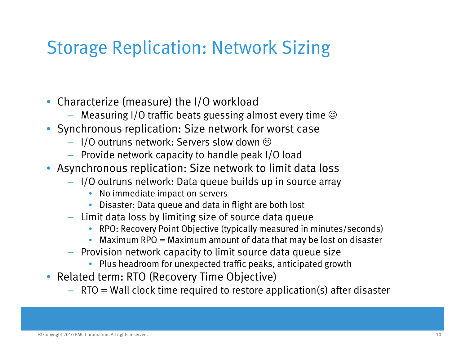### Storage Replication: Network Sizing

- Characterize (measure) the I/O workload
	- $-$  Measuring I/O traffic beats guessing almost every time  $\odot$
- Synchronous replication: Size network for worst case
	- $-$  1/0 outruns network: Servers slow down  $\circledcirc$
	- Provide network capacity to handle peak I/O load
- Asynchronous replication: Size network to limit data loss
	- I/O outruns network: Data queue builds up in source array
		- $\bullet$ No immediate impact on servers
		- $\bullet$  Disaster: Data queue and data in flight are both lost
	- Limit data loss by limiting size of source data queue
		- RPO: Recovery Point Objective (typically measured in minutes/seconds)
		- •Maximum RPO = Maximum amount of data that may be lost on disaster
	- Provision network capacity to limit source data queue size
		- Plus headroom for unexpected traffic peaks, anticipated growth
- Related term: RTO (Recovery Time Objective)
	- $\,$  RTO  $=$  Wall clock time required to restore application(s) after disaster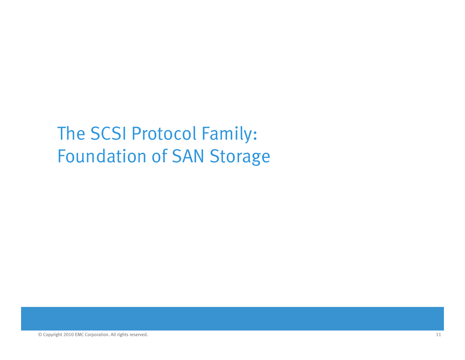The SCSI Protocol Family: Foundation of SAN Storage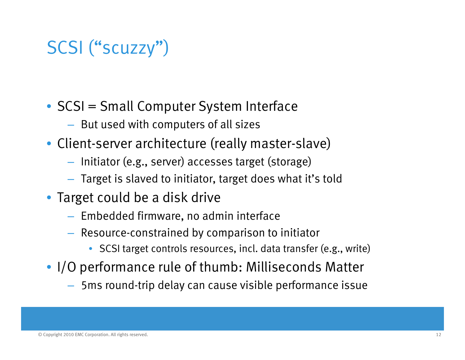### SCSI ("scuzzy")

- SCSI = Small Computer System Interface
	- $-$  But used with computers of all sizes
- Client-server architecture (really master-slave)
	- $-$  Initiator (e.g., server) accesses target (storage)
	- $-$  Target is slaved to initiator, target does what it's told
- Target could be a disk drive
	- Embedded firmware, no admin interface
	- $-$  Resource-constrained by comparison to initiator
		- SCSI target controls resources, incl. data transfer (e.g., write)
- I/O performance rule of thumb: Milliseconds Matter
	- 5ms round-trip delay can cause visible performance issue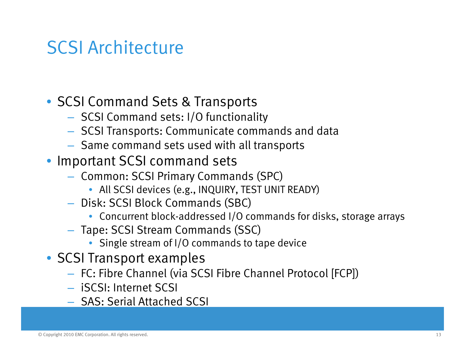### SCSI Architecture

- SCSI Command Sets & Transports
	- SCSI Command sets: I/O functionality
	- $\,$  SCSI Transports: Communicate commands and data
	- $-$  Same command sets used with all transports
- Important SCSI command sets
	- Common: SCSI Primary Commands (SPC)
		- All SCSI devices (e.g., INQUIRY, TEST UNIT READY)
	- Disk: SCSI Block Commands (SBC)
		- Concurrent block-addressed I/O commands for disks, storage arrays
	- Tape: SCSI Stream Commands (SSC)
		- Single stream of I/O commands to tape device
- SCSI Transport examples
	- FC: Fibre Channel (via SCSI Fibre Channel Protocol [FCP])
	- iSCSI: Internet SCSI
	- SAS: Serial Attached SCSI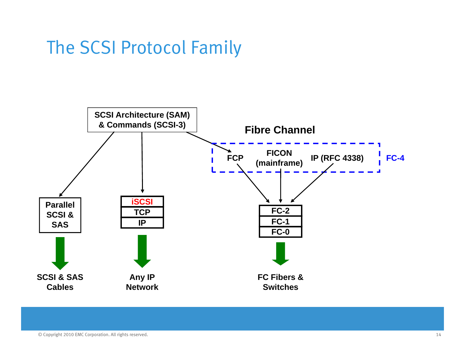### The SCSI Protocol Family

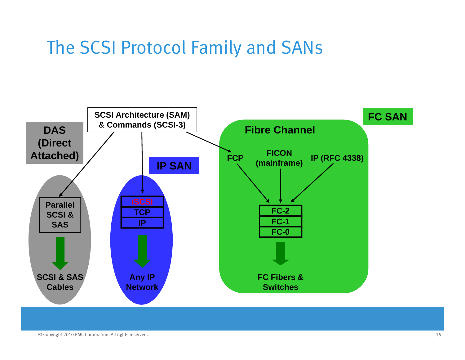### The SCSI Protocol Family and SANs

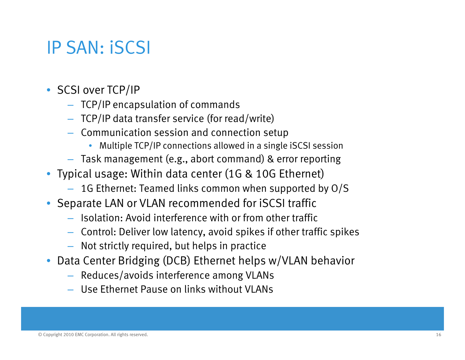### IP SAN: iSCSI

- SCSI over TCP/IP
	- TCP/IP encapsulation of commands
	- TCP/IP data transfer service (for read/write)
	- Communication session and connection setup
		- $\bullet$ Multiple TCP/IP connections allowed in a single iSCSI session
	- $-$  Task management (e.g., abort command) & error reporting
- Typical usage: Within data center (1G & 10G Ethernet)
	- 1G Ethernet: Teamed links common when supported by O/S
- Separate LAN or VLAN recommended for iSCSI traffic
	- Isolation: Avoid interference with or from other traffic
	- Control: Deliver low latency, avoid spikes if other traffic spikes
	- $-$  Not strictly required, but helps in practice
- Data Center Bridging (DCB) Ethernet helps w/VLAN behavior
	- Reduces/avoids interference among VLANs
	- Use Ethernet Pause on links without VLANs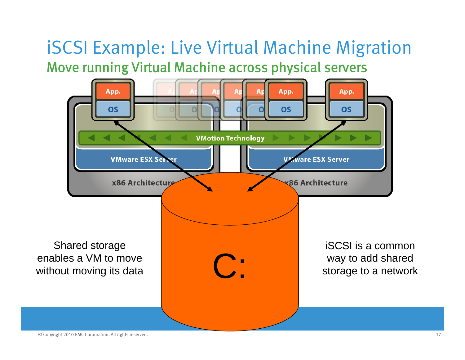### iSCSI Example: Live Virtual Machine Migration Move running Virtual Machine across physical servers



© Copyright 2010 EMC Corporation. All rights reserved. 17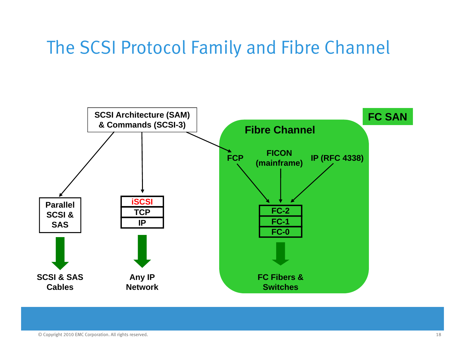### The SCSI Protocol Family and Fibre Channel

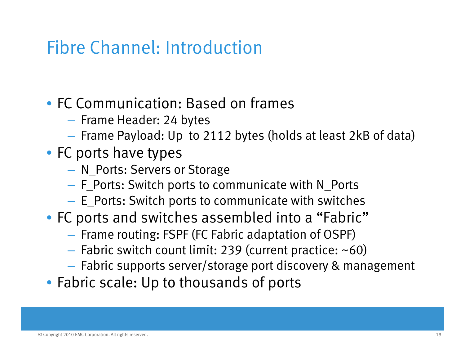### Fibre Channel: Introduction

### • FC Communication: Based on frames

- Frame Header: 24 bytes
- $-$  Frame Payload: Up to 2112 bytes (holds at least 2kB of data)

#### • FC ports have types

- $-$  N\_Ports: Servers or Storage
- $-$  F\_Ports: Switch ports to communicate with N\_Ports
- $-$  <code>E\_Ports:</code> Switch ports to communicate with switches  $\,$
- FC ports and switches assembled into a "Fabric"
	- $-$  Frame routing: FSPF (FC Fabric adaptation of OSPF)
	- – $-$  Fabric switch count limit: 239 (current practice: ~60)
	- Fabric supports server/storage port discovery & management
- Fabric scale: Up to thousands of ports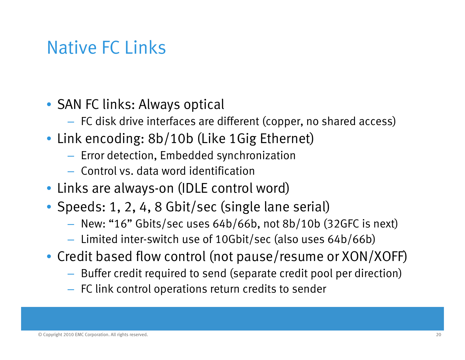### Native FC Links

- SAN FC links: Always optical
	- $-$  FC disk drive interfaces are different (copper, no shared access)
- Link encoding: 8b/10b (Like 1Gig Ethernet)
	- $-$  Error detection, Embedded synchronization
	- Control vs. data word identification
- Links are always-on (IDLE control word)
- Speeds: 1, 2, 4, 8 Gbit/sec (single lane serial)
	- New: "16" Gbits/sec uses 64b/66b, not 8b/10b (32GFC is next)
	- Limited inter-switch use of 10Gbit/sec (also uses 64b/66b)
- Credit based flow control (not pause/resume or XON/XOFF)
	- $-$  Buffer credit required to send (separate credit pool per direction)
	- $-$  FC link control operations return credits to sender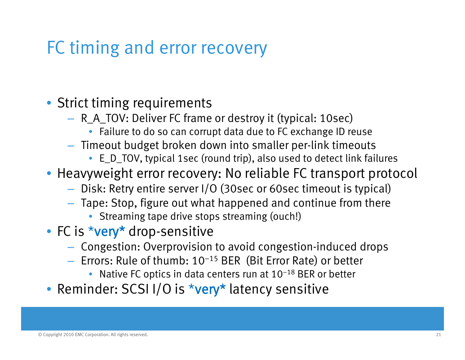### FC timing and error recovery

• Strict timing requirements

- R\_A\_TOV: Deliver FC frame or destroy it (typical: 10sec)
	- Failure to do so can corrupt data due to FC exchange ID reuse
- Timeout budget broken down into smaller per-link timeouts
	- $\bullet\;$  <code>E\_D\_TOV,</code> typical 1sec (round trip), also used to detect link failures
- Heavyweight error recovery: No reliable FC transport protocol
	- $-$  Disk: Retry entire server I/O (30sec or 60sec timeout is typical)
	- $-$  Tape: Stop, figure out what happened and continue from there
		- Streaming tape drive stops streaming (ouch!)
- FC is \*very\* drop-sensitive
	- $-$  Congestion: Overprovision to avoid congestion-induced drops
	- $-$  Errors: Rule of thumb: 10<sup>–15</sup> BER(Bit Error Rate) or better
		- Native FC optics in data centers run at  $10^{-18}$  BER or better
- Reminder: SCSI I/O is \*very\* latency sensitive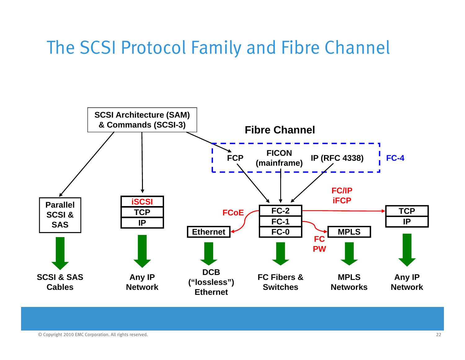### The SCSI Protocol Family and Fibre Channel

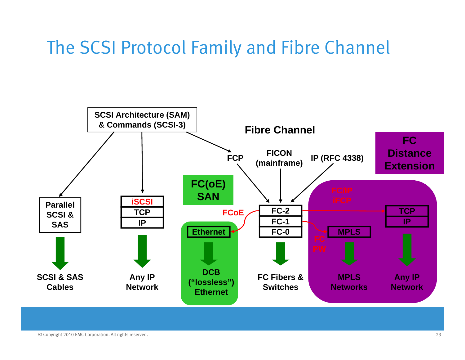### The SCSI Protocol Family and Fibre Channel

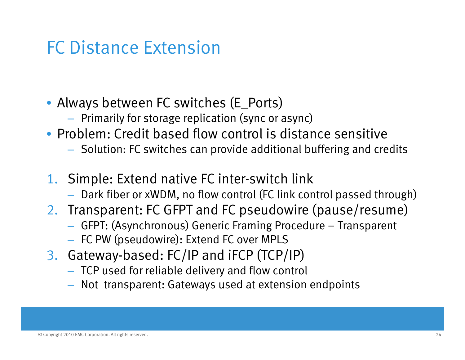### FC Distance Extension

- Always between FC switches (E\_Ports)
	- $-$  Primarily for storage replication (sync or async)
- Problem: Credit based flow control is distance sensitive
	- $-$  Solution: FC switches can provide additional buffering and credits
- 1. Simple: Extend native FC inter-switch link
	- $-$  Dark fiber or xWDM, no flow control (FC link control passed through)
- 2. Transparent: FC GFPT and FC pseudowire (pause/resume)
	- GFPT: (Asynchronous) Generic Framing Procedure Transparent
	- $-$  FC PW (pseudowire): Extend FC over MPLS
- 3. Gateway-based: FC/IP and iFCP (TCP/IP)
	- $-$  TCP used for reliable delivery and flow control
	- Not transparent: Gateways used at extension endpoints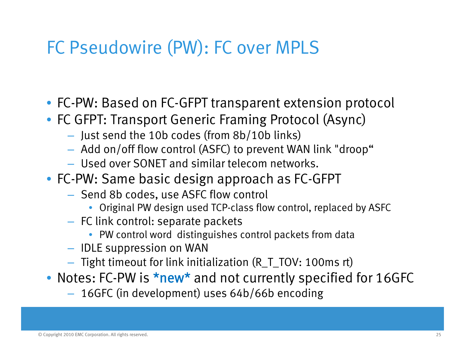### FC Pseudowire (PW): FC over MPLS

- FC-PW: Based on FC-GFPT transparent extension protocol
- FC GFPT: Transport Generic Framing Protocol (Async)
	- Just send the 10b codes (from 8b/10b links)
	- $-$  Add on/off flow control (ASFC) to prevent WAN link "droop"  $\,$
	- Used over SONET and similar telecom networks.
- FC-PW: Same basic design approach as FC-GFPT
	- Send 8b codes, use ASFC flow control
		- Original PW design used TCP-class flow control, replaced by ASFC
	- $-$  FC link control: separate packets
		- PW control word distinguishes control packets from data
	- IDLE suppression on WAN
	- $-$  Tight timeout for link initialization (R\_T\_TOV: 100ms rt)
- Notes: FC-PW is \*new\* and not currently specified for 16GFC
	- 16GFC (in development) uses 64b/66b encoding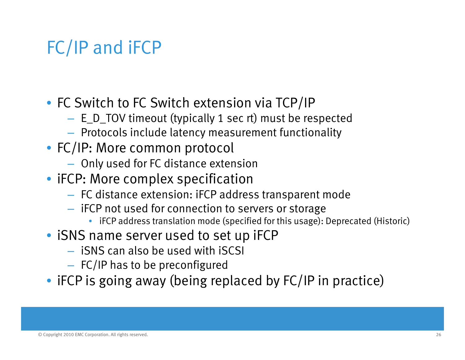### FC/IP and iFCP

- FC Switch to FC Switch extension via TCP/IP
	- E\_D\_TOV timeout (typically 1 sec rt) must be respected
	- $-$  Protocols include latency measurement functionality
- FC/IP: More common protocol
	- $-$  Only used for FC distance extension
- iFCP: More complex specification
	- $-$  FC distance extension: iFCP address transparent mode
	- $-$  <code>iFCP</code> not used for connection to servers or storage  $\,$ 
		- iFCP address translation mode (specified for this usage): Deprecated (Historic)
- iSNS name server used to set up iFCP
	- $-$  iSNS can also be used with iSCSI
	- $-$  FC/IP has to be preconfigured
- iFCP is going away (being replaced by FC/IP in practice)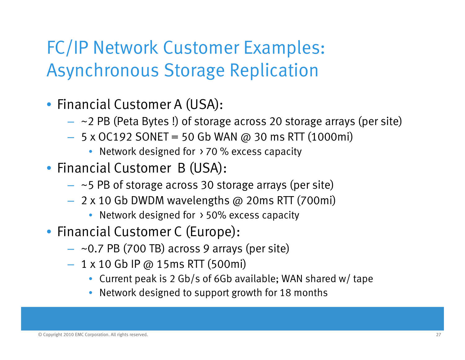### FC/IP Network Customer Examples: Asynchronous Storage Replication

- Financial Customer A (USA):
	- $~\sim$ 2 PB (Peta Bytes !) of storage across 20 storage arrays (per site)
	- 5 x OC192 SONET = 50 Gb WAN @ 30 ms RTT (1000mi)
		- $\bullet\;$  Network designed for  $\,\flat\,70$  % excess capacity
- Financial Customer B (USA):
	- $~\sim$ 5 PB of storage across 30 storage arrays (per site)
	- 2 x 10 Gb DWDM wavelengths @ 20ms RTT (700mi)
		- Network designed for > 50% excess capacity
- Financial Customer C (Europe):
	- ~0.7 PB (700 TB) across 9 arrays (per site)
	- 1 x 10 Gb IP @ 15ms RTT (500mi)
		- Current peak is 2 Gb/s of 6Gb available; WAN shared w/ tape
		- Network designed to support growth for 18 months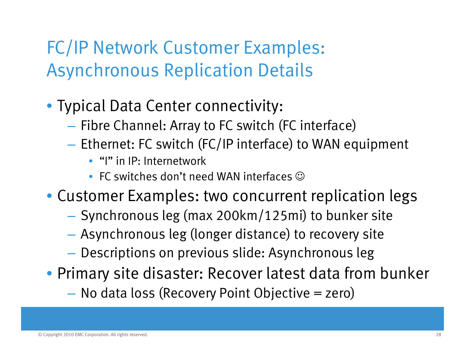### FC/IP Network Customer Examples: Asynchronous Replication Details

- Typical Data Center connectivity:
	- $-$  Fibre Channel: Array to FC switch (FC interface)
	- $-$  Ethernet: FC switch (FC/IP interface) to WAN equipment
		- "I" in IP: Internetwork
		- FC switches don't need WAN interfaces  $\mathbb {O}$
- Customer Examples: two concurrent replication legs
	- $-$  Synchronous leg (max 200km/125mi) to bunker site
	- Asynchronous leg (longer distance) to recovery site
	- $\mathcal{L}_{\mathcal{A}}$ – Descriptions on previous slide: Asynchronous leg
- Primary site disaster: Recover latest data from bunker
	- No data loss (Recovery Point Objective = zero)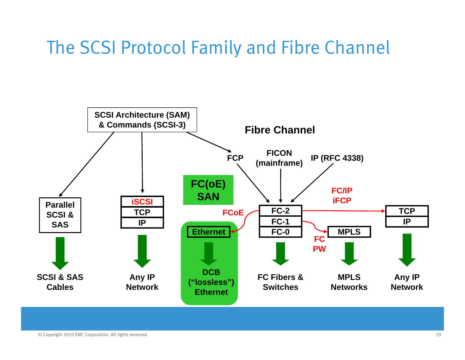### The SCSI Protocol Family and Fibre Channel

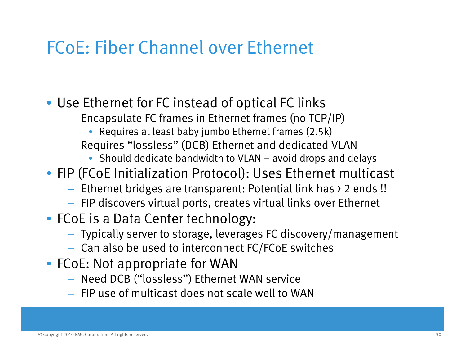### FCoE: Fiber Channel over Ethernet

- Use Ethernet for FC instead of optical FC links
	- $-$  Encapsulate FC frames in Ethernet frames (no TCP/IP)
		- Requires at least baby jumbo Ethernet frames (2.5k)
	- $-$  Requires "lossless" (DCB) Ethernet and dedicated VLAN
		- Should dedicate bandwidth to VLAN avoid drops and delays
- FIP (FCoE Initialization Protocol): Uses Ethernet multicast
	- Ethernet bridges are transparent: Potential link has > 2 ends !!
	- $-$  FIP discovers virtual ports, creates virtual links over Ethernet
- FCoE is a Data Center technology:
	- Typically server to storage, leverages FC discovery/management
	- Can also be used to interconnect FC/FCoE switches
- FCoE: Not appropriate for WAN
	- Need DCB ("lossless") Ethernet WAN service
	- $-$  FIP use of multicast does not scale well to WAN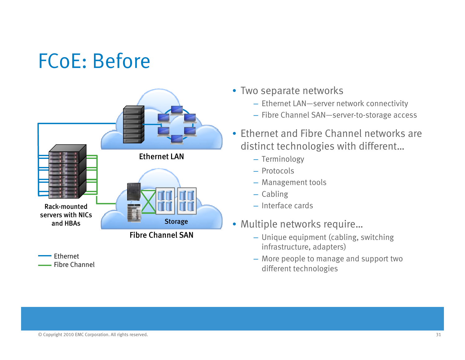# FCoE: Before



**-**Ethernet Fibre Channel

- Two separate networks
	- Ethernet LAN—server network connectivity
	- Fibre Channel SAN—server-to-storage access
- Ethernet and Fibre Channel networks are distinct technologies with different…
	-
	- Protocols
	- Management tools
	- Cabling
	- Interface cards
- Multiple networks require…
	- Unique equipment (cabling, switching infrastructure, adapters)
	- More people to manage and support two different technologies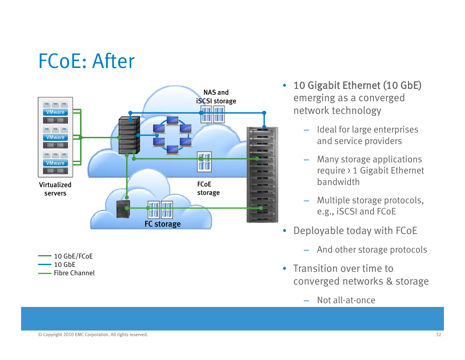## FCoE: After



10 GbE/FCoE  $-10$  GbE Fibre Channel

- $\bullet$  10 Gigabit Ethernet (10 GbE) emerging as a converged
	- Ideal for large enterprises and service providers
	- Many storage applications –require > 1 Gigabit Ethernet bandwidth
	- Multiple storage protocols, e.g., iSCSI and FCoE
- • Deployable today with FCoE
	- And other storage protocols –
- Transition over time to converged networks & storage
	- Not all-at-once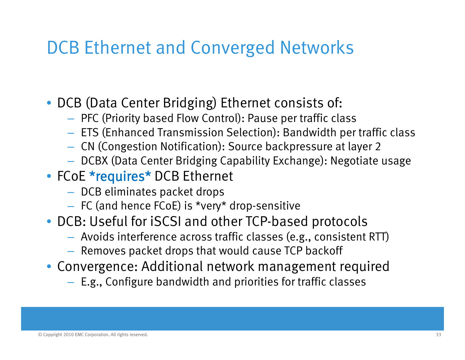### DCB Ethernet and Converged Networks

- DCB (Data Center Bridging) Ethernet consists of:
	- $-$  PFC (Priority based Flow Control): Pause per traffic class
	- $-$  ETS (Enhanced Transmission Selection): Bandwidth per traffic class
	- $-$  CN (Congestion Notification): Source backpressure at layer 2
	- DCBX (Data Center Bridging Capability Exchange): Negotiate usage
- FCoE \*requires\* DCB Ethernet
	- $-$  DCB eliminates packet drops
	- $-$  FC (and hence FCoE) is \*very\* drop-sensitive
- DCB: Useful for iSCSI and other TCP-based protocols
	- $-$  Avoids interference across traffic classes (e.g., consistent RTT)
	- $-$  Removes packet drops that would cause TCP backoff
- Convergence: Additional network management required
	- $-$  E.g., Configure bandwidth and priorities for traffic classes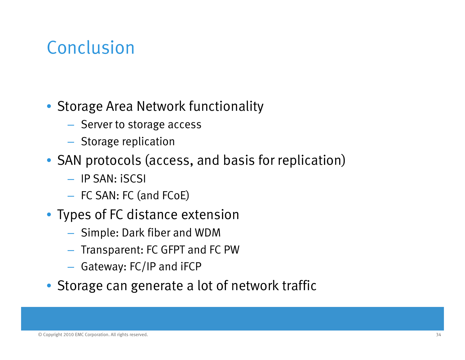### Conclusion

#### • Storage Area Network functionality

- Server to storage access
- $-$  Storage replication
- SAN protocols (access, and basis for replication)
	- IP SAN: iSCSI
	- FC SAN: FC (and FCoE)
- Types of FC distance extension
	- $-$  Simple: Dark fiber and WDM
	- $-$  Transparent: FC GFPT and FC PW
	- $-$  Gateway: FC/IP and iFCP
- Storage can generate a lot of network traffic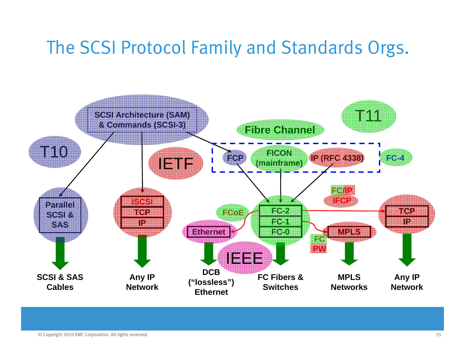### The SCSI Protocol Family and Standards Orgs.